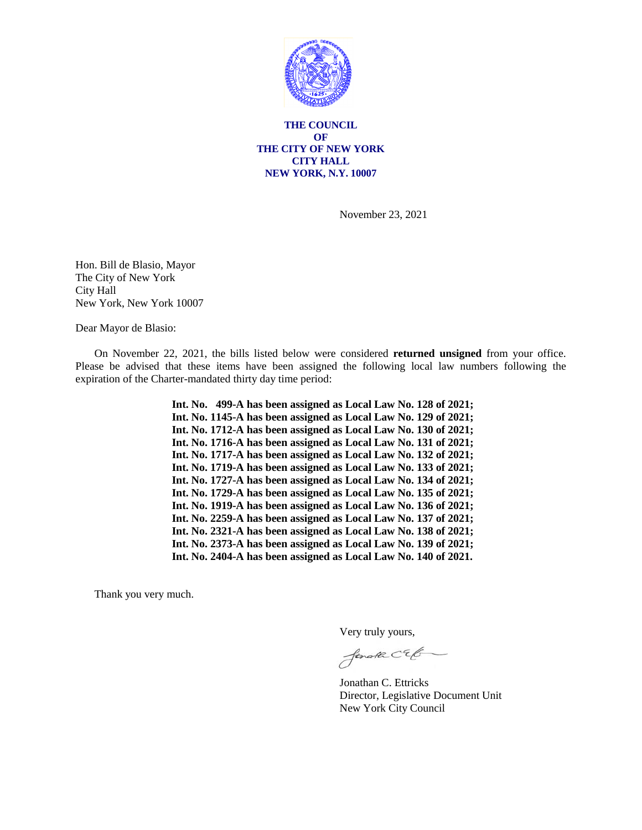

**THE COUNCIL OF THE CITY OF NEW YORK CITY HALL NEW YORK, N.Y. 10007**

November 23, 2021

Hon. Bill de Blasio, Mayor The City of New York City Hall New York, New York 10007

Dear Mayor de Blasio:

On November 22, 2021, the bills listed below were considered **returned unsigned** from your office. Please be advised that these items have been assigned the following local law numbers following the expiration of the Charter-mandated thirty day time period:

> **Int. No. 499-A has been assigned as Local Law No. 128 of 2021; Int. No. 1145-A has been assigned as Local Law No. 129 of 2021; Int. No. 1712-A has been assigned as Local Law No. 130 of 2021; Int. No. 1716-A has been assigned as Local Law No. 131 of 2021; Int. No. 1717-A has been assigned as Local Law No. 132 of 2021; Int. No. 1719-A has been assigned as Local Law No. 133 of 2021; Int. No. 1727-A has been assigned as Local Law No. 134 of 2021; Int. No. 1729-A has been assigned as Local Law No. 135 of 2021; Int. No. 1919-A has been assigned as Local Law No. 136 of 2021; Int. No. 2259-A has been assigned as Local Law No. 137 of 2021; Int. No. 2321-A has been assigned as Local Law No. 138 of 2021; Int. No. 2373-A has been assigned as Local Law No. 139 of 2021; Int. No. 2404-A has been assigned as Local Law No. 140 of 2021.**

Thank you very much.

Very truly yours,

forale CEG

Jonathan C. Ettricks Director, Legislative Document Unit New York City Council